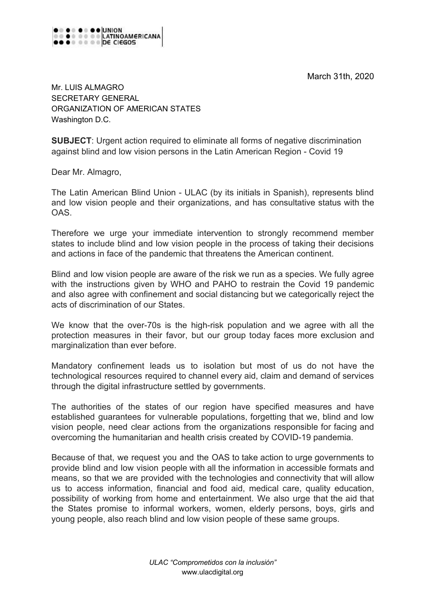March 31th, 2020



Mr. LUIS ALMAGRO SECRETARY GENERAL ORGANIZATION OF AMERICAN STATES Washington D.C.

**SUBJECT**: Urgent action required to eliminate all forms of negative discrimination against blind and low vision persons in the Latin American Region - Covid 19

Dear Mr. Almagro,

The Latin American Blind Union - ULAC (by its initials in Spanish), represents blind and low vision people and their organizations, and has consultative status with the **OAS** 

Therefore we urge your immediate intervention to strongly recommend member states to include blind and low vision people in the process of taking their decisions and actions in face of the pandemic that threatens the American continent.

Blind and low vision people are aware of the risk we run as a species. We fully agree with the instructions given by WHO and PAHO to restrain the Covid 19 pandemic and also agree with confinement and social distancing but we categorically reject the acts of discrimination of our States.

We know that the over-70s is the high-risk population and we agree with all the protection measures in their favor, but our group today faces more exclusion and marginalization than ever before.

Mandatory confinement leads us to isolation but most of us do not have the technological resources required to channel every aid, claim and demand of services through the digital infrastructure settled by governments.

The authorities of the states of our region have specified measures and have established guarantees for vulnerable populations, forgetting that we, blind and low vision people, need clear actions from the organizations responsible for facing and overcoming the humanitarian and health crisis created by COVID-19 pandemia.

Because of that, we request you and the OAS to take action to urge governments to provide blind and low vision people with all the information in accessible formats and means, so that we are provided with the technologies and connectivity that will allow us to access information, financial and food aid, medical care, quality education, possibility of working from home and entertainment. We also urge that the aid that the States promise to informal workers, women, elderly persons, boys, girls and young people, also reach blind and low vision people of these same groups.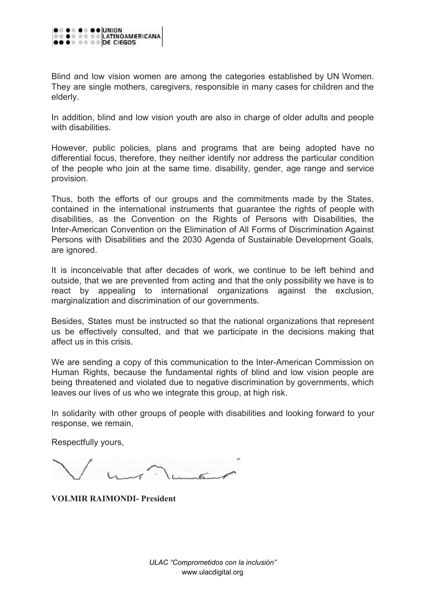

Blind and low vision women are among the categories established by UN Women. They are single mothers, caregivers, responsible in many cases for children and the elderly.

In addition, blind and low vision youth are also in charge of older adults and people with disabilities.

However, public policies, plans and programs that are being adopted have no differential focus, therefore, they neither identify nor address the particular condition of the people who join at the same time. disability, gender, age range and service provision.

Thus, both the efforts of our groups and the commitments made by the States, contained in the international instruments that guarantee the rights of people with disabilities, as the Convention on the Rights of Persons with Disabilities, the Inter-American Convention on the Elimination of All Forms of Discrimination Against Persons with Disabilities and the 2030 Agenda of Sustainable Development Goals, are ignored.

It is inconceivable that after decades of work, we continue to be left behind and outside, that we are prevented from acting and that the only possibility we have is to react by appealing to international organizations against the exclusion, marginalization and discrimination of our governments.

Besides, States must be instructed so that the national organizations that represent us be effectively consulted, and that we participate in the decisions making that affect us in this crisis.

We are sending a copy of this communication to the Inter-American Commission on Human Rights, because the fundamental rights of blind and low vision people are being threatened and violated due to negative discrimination by governments, which leaves our lives of us who we integrate this group, at high risk.

In solidarity with other groups of people with disabilities and looking forward to your response, we remain,

Respectfully yours,

**VOLMIR RAIMONDI- President**